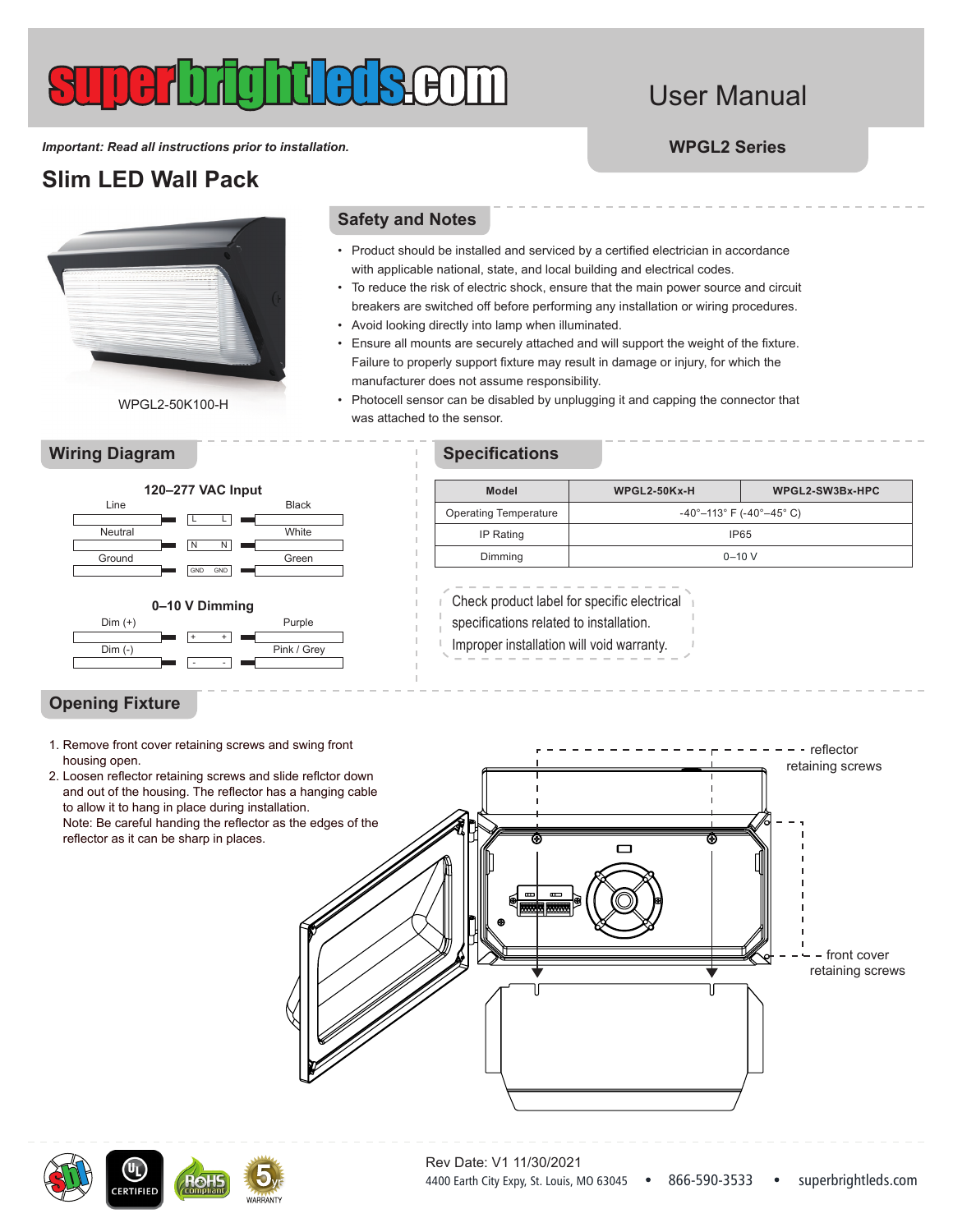# User Manual

*Important: Read all instructions prior to installation.* **WPGL2 Series**

## **Slim LED Wall Pack**

WPGL2-50K100-H

## **Safety and Notes**

- Product should be installed and serviced by a certified electrician in accordance with applicable national, state, and local building and electrical codes.
- To reduce the risk of electric shock, ensure that the main power source and circuit breakers are switched off before performing any installation or wiring procedures.
- Avoid looking directly into lamp when illuminated.
- Ensure all mounts are securely attached and will support the weight of the fixture. Failure to properly support fixture may result in damage or injury, for which the manufacturer does not assume responsibility.
- Photocell sensor can be disabled by unplugging it and capping the connector that was attached to the sensor.



## **Wiring Diagram Specifications**

| Model                        | $WPGL2-50Kx-H$                                                | WPGL2-SW3Bx-HPC |  |
|------------------------------|---------------------------------------------------------------|-----------------|--|
| <b>Operating Temperature</b> | $-40^{\circ} - 113^{\circ}$ F ( $-40^{\circ} - 45^{\circ}$ C) |                 |  |
| IP Rating                    | IP <sub>65</sub>                                              |                 |  |
| Dimming                      | $0 - 10 V$                                                    |                 |  |

Check product label for specific electrical

specifications related to installation.

Improper installation will void warranty.